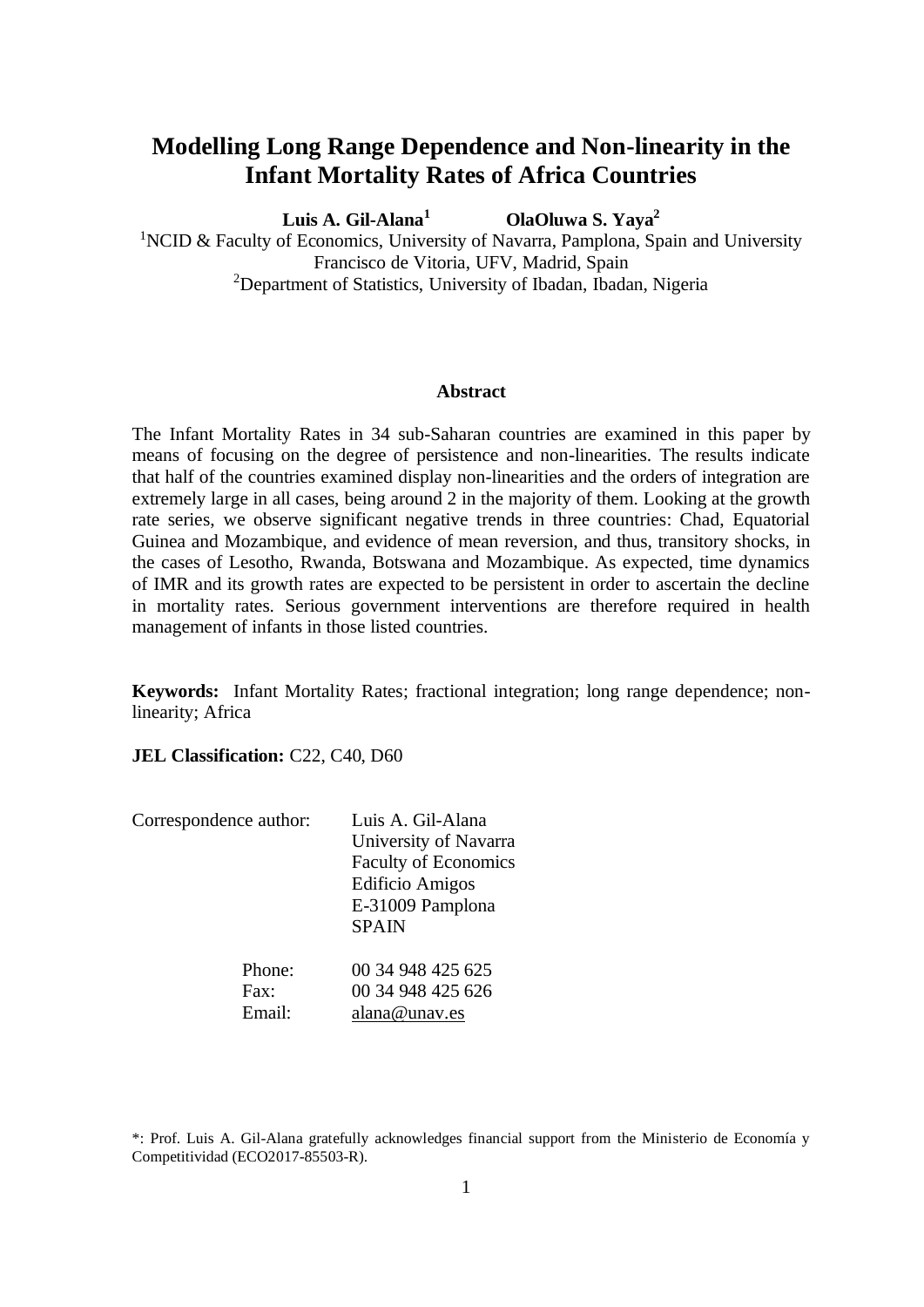# **Modelling Long Range Dependence and Non-linearity in the Infant Mortality Rates of Africa Countries**

**Luis A. Gil-Alana<sup>1</sup>OlaOluwa S. Yaya<sup>2</sup>**  <sup>1</sup>NCID & Faculty of Economics, University of Navarra, Pamplona, Spain and University Francisco de Vitoria, UFV, Madrid, Spain <sup>2</sup>Department of Statistics, University of Ibadan, Ibadan, Nigeria

### **Abstract**

The Infant Mortality Rates in 34 sub-Saharan countries are examined in this paper by means of focusing on the degree of persistence and non-linearities. The results indicate that half of the countries examined display non-linearities and the orders of integration are extremely large in all cases, being around 2 in the majority of them. Looking at the growth rate series, we observe significant negative trends in three countries: Chad, Equatorial Guinea and Mozambique, and evidence of mean reversion, and thus, transitory shocks, in the cases of Lesotho, Rwanda, Botswana and Mozambique. As expected, time dynamics of IMR and its growth rates are expected to be persistent in order to ascertain the decline in mortality rates. Serious government interventions are therefore required in health management of infants in those listed countries.

**Keywords:** Infant Mortality Rates; fractional integration; long range dependence; nonlinearity; Africa

**JEL Classification: C22, C40, D60** 

| Correspondence author: | Luis A. Gil-Alana<br>University of Navarra<br><b>Faculty of Economics</b><br><b>Edificio Amigos</b><br>E-31009 Pamplona<br><b>SPAIN</b> |
|------------------------|-----------------------------------------------------------------------------------------------------------------------------------------|
| Phone:                 | 00 34 948 425 625                                                                                                                       |
| $\text{Fax}:$          | 00 34 948 425 626                                                                                                                       |
| Email:                 | alana@unav.es                                                                                                                           |

<sup>\*:</sup> Prof. Luis A. Gil-Alana gratefully acknowledges financial support from the Ministerio de Economía y Competitividad (ECO2017-85503-R).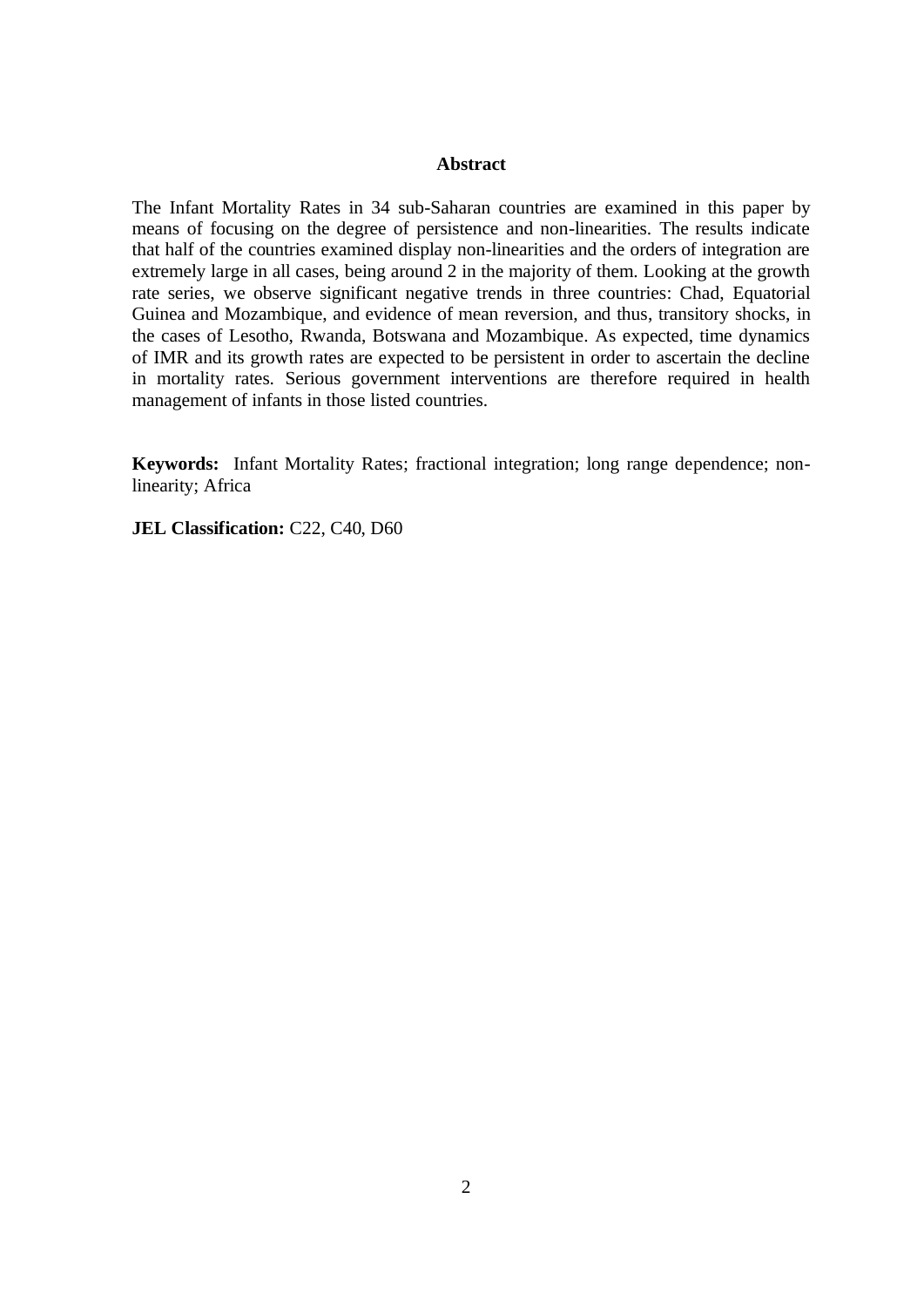## **Abstract**

The Infant Mortality Rates in 34 sub-Saharan countries are examined in this paper by means of focusing on the degree of persistence and non-linearities. The results indicate that half of the countries examined display non-linearities and the orders of integration are extremely large in all cases, being around 2 in the majority of them. Looking at the growth rate series, we observe significant negative trends in three countries: Chad, Equatorial Guinea and Mozambique, and evidence of mean reversion, and thus, transitory shocks, in the cases of Lesotho, Rwanda, Botswana and Mozambique. As expected, time dynamics of IMR and its growth rates are expected to be persistent in order to ascertain the decline in mortality rates. Serious government interventions are therefore required in health management of infants in those listed countries.

**Keywords:** Infant Mortality Rates; fractional integration; long range dependence; nonlinearity; Africa

**JEL Classification: C22, C40, D60**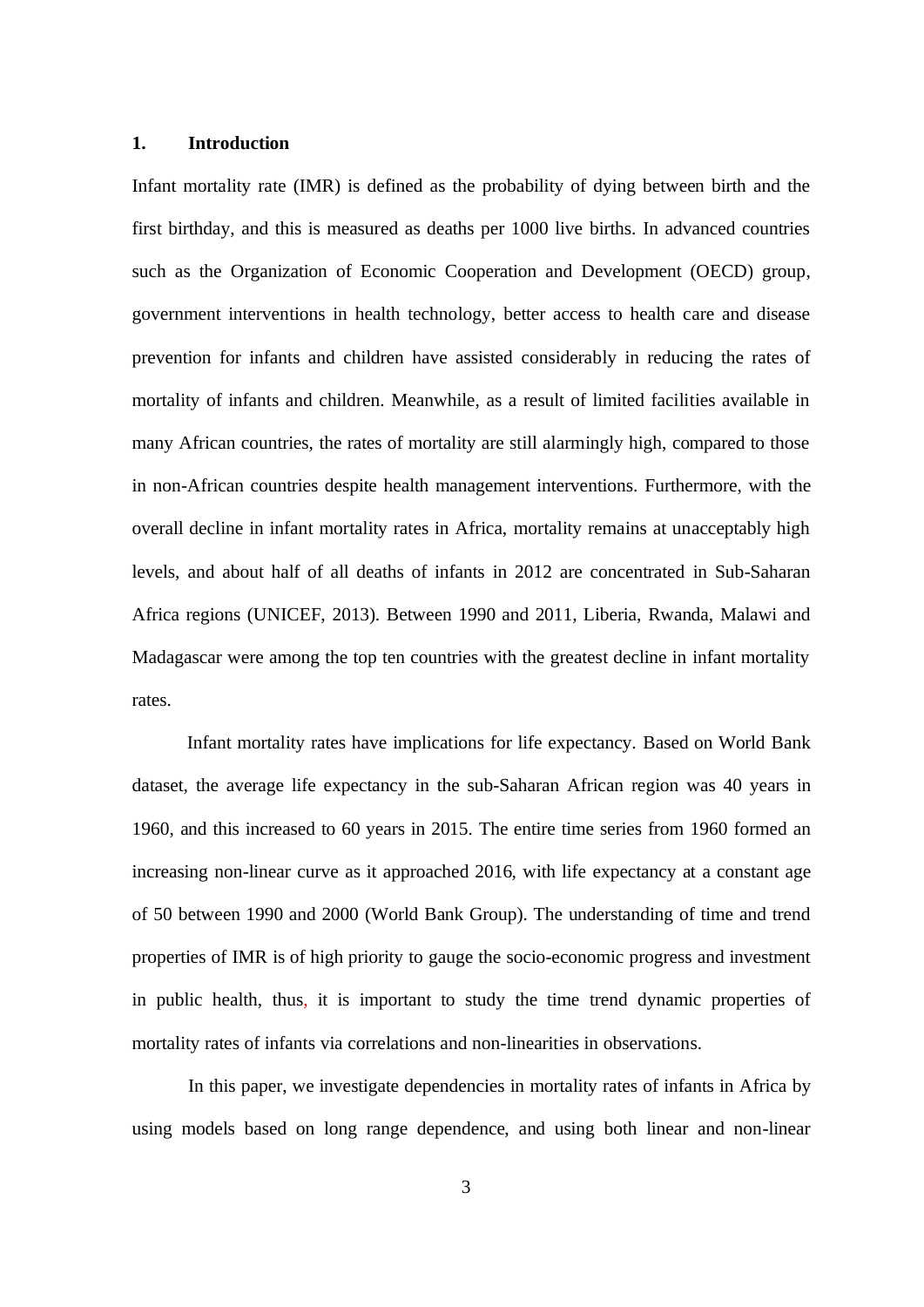## **1. Introduction**

Infant mortality rate (IMR) is defined as the probability of dying between birth and the first birthday, and this is measured as deaths per 1000 live births. In advanced countries such as the Organization of Economic Cooperation and Development (OECD) group, government interventions in health technology, better access to health care and disease prevention for infants and children have assisted considerably in reducing the rates of mortality of infants and children. Meanwhile, as a result of limited facilities available in many African countries, the rates of mortality are still alarmingly high, compared to those in non-African countries despite health management interventions. Furthermore, with the overall decline in infant mortality rates in Africa, mortality remains at unacceptably high levels, and about half of all deaths of infants in 2012 are concentrated in Sub-Saharan Africa regions (UNICEF, 2013). Between 1990 and 2011, Liberia, Rwanda, Malawi and Madagascar were among the top ten countries with the greatest decline in infant mortality rates.

Infant mortality rates have implications for life expectancy. Based on World Bank dataset, the average life expectancy in the sub-Saharan African region was 40 years in 1960, and this increased to 60 years in 2015. The entire time series from 1960 formed an increasing non-linear curve as it approached 2016, with life expectancy at a constant age of 50 between 1990 and 2000 (World Bank Group). The understanding of time and trend properties of IMR is of high priority to gauge the socio-economic progress and investment in public health, thus, it is important to study the time trend dynamic properties of mortality rates of infants via correlations and non-linearities in observations.

In this paper, we investigate dependencies in mortality rates of infants in Africa by using models based on long range dependence, and using both linear and non-linear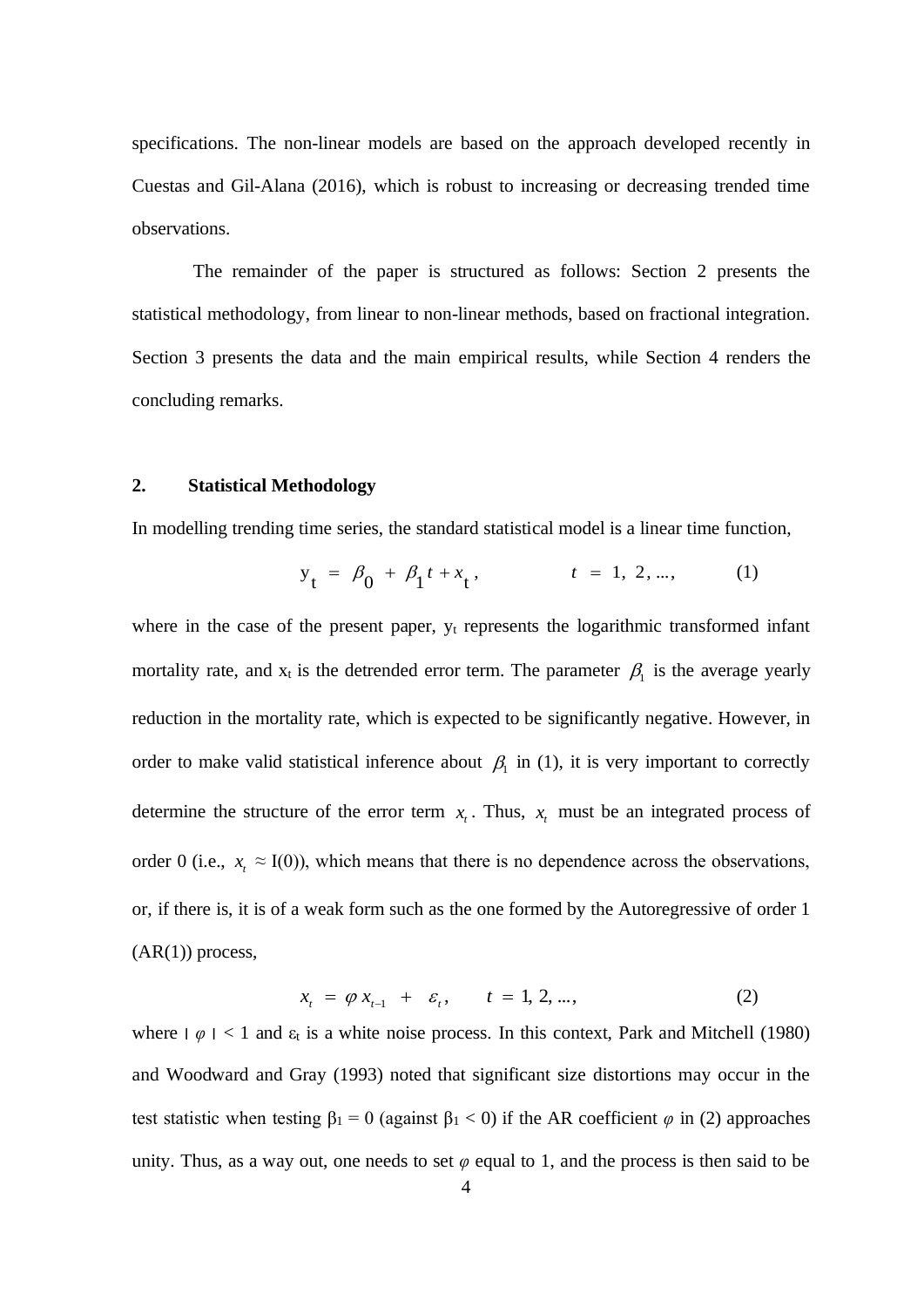specifications. The non-linear models are based on the approach developed recently in Cuestas and Gil-Alana (2016), which is robust to increasing or decreasing trended time observations.

The remainder of the paper is structured as follows: Section 2 presents the statistical methodology, from linear to non-linear methods, based on fractional integration. Section 3 presents the data and the main empirical results, while Section 4 renders the concluding remarks.

## **2. Statistical Methodology**

In modelling trending time series, the standard statistical model is a linear time function,

$$
y_t = \beta_0 + \beta_1 t + x_t, \qquad t = 1, 2, ..., \qquad (1)
$$

where in the case of the present paper,  $y_t$  represents the logarithmic transformed infant mortality rate, and  $x_t$  is the detrended error term. The parameter  $\beta_1$  is the average yearly reduction in the mortality rate, which is expected to be significantly negative. However, in order to make valid statistical inference about  $\beta_1$  in (1), it is very important to correctly determine the structure of the error term  $x<sub>t</sub>$ . Thus,  $x<sub>t</sub>$  must be an integrated process of order 0 (i.e.,  $x_t \approx I(0)$ ), which means that there is no dependence across the observations, or, if there is, it is of a weak form such as the one formed by the Autoregressive of order 1  $(AR(1))$  process,

$$
x_t = \varphi x_{t-1} + \varepsilon_t, \qquad t = 1, 2, ..., \tag{2}
$$

where  $|\varphi|$  < 1 and  $\varepsilon_t$  is a white noise process. In this context, Park and Mitchell (1980) and Woodward and Gray (1993) noted that significant size distortions may occur in the test statistic when testing  $\beta_1 = 0$  (against  $\beta_1 < 0$ ) if the AR coefficient  $\varphi$  in (2) approaches unity. Thus, as a way out, one needs to set  $\varphi$  equal to 1, and the process is then said to be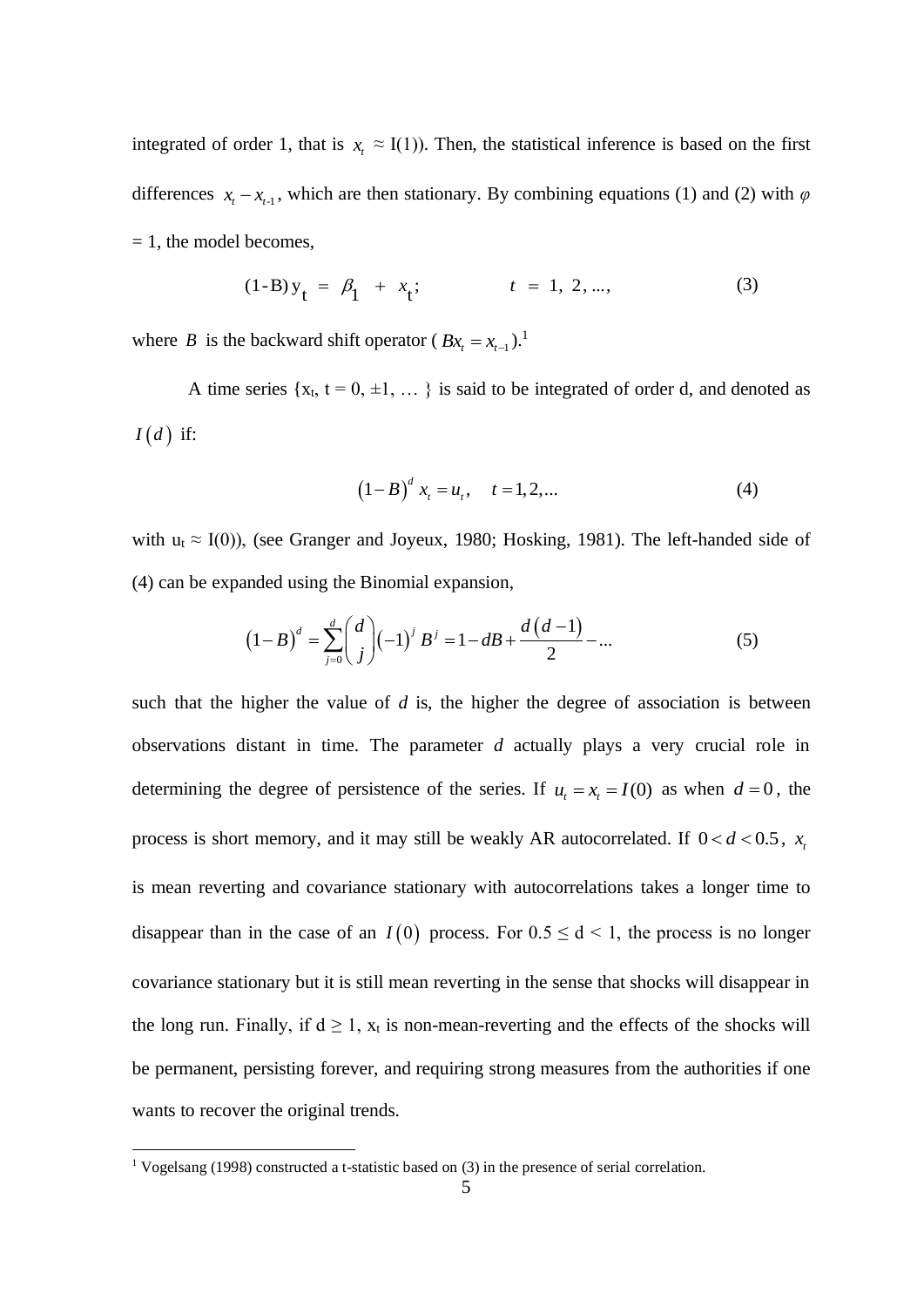integrated of order 1, that is  $x_t \approx I(1)$ ). Then, the statistical inference is based on the first differences  $x_t - x_{t-1}$ , which are then stationary. By combining equations (1) and (2) with  $\varphi$  $= 1$ , the model becomes,

$$
(1-B)y_t = \beta_1 + x_t; \qquad t = 1, 2, ..., \qquad (3)
$$

where *B* is the backward shift operator ( $Bx_t = x_{t-1}$ ).<sup>1</sup>

A time series  $\{x_t, t = 0, \pm 1, \dots\}$  is said to be integrated of order d, and denoted as  $I(d)$  if:

$$
(1-B)^d x_t = u_t, \quad t = 1, 2, ... \tag{4}
$$

with  $u_t \approx I(0)$ ), (see Granger and Joyeux, 1980; Hosking, 1981). The left-handed side of

(4) can be expanded using the Binomial expansion,  
\n
$$
(1-B)^d = \sum_{j=0}^d \binom{d}{j} (-1)^j B^j = 1 - dB + \frac{d(d-1)}{2} - \dots
$$
\n(5)

such that the higher the value of *d* is, the higher the degree of association is between observations distant in time. The parameter *d* actually plays a very crucial role in determining the degree of persistence of the series. If  $u_t = x_t = I(0)$  as when  $d = 0$ , the process is short memory, and it may still be weakly AR autocorrelated. If  $0 < d < 0.5$ ,  $x_i$ is mean reverting and covariance stationary with autocorrelations takes a longer time to disappear than in the case of an  $I(0)$  process. For  $0.5 \le d \le 1$ , the process is no longer covariance stationary but it is still mean reverting in the sense that shocks will disappear in the long run. Finally, if  $d \ge 1$ ,  $x_t$  is non-mean-reverting and the effects of the shocks will be permanent, persisting forever, and requiring strong measures from the authorities if one wants to recover the original trends.

<sup>1</sup> Vogelsang (1998) constructed a t-statistic based on (3) in the presence of serial correlation.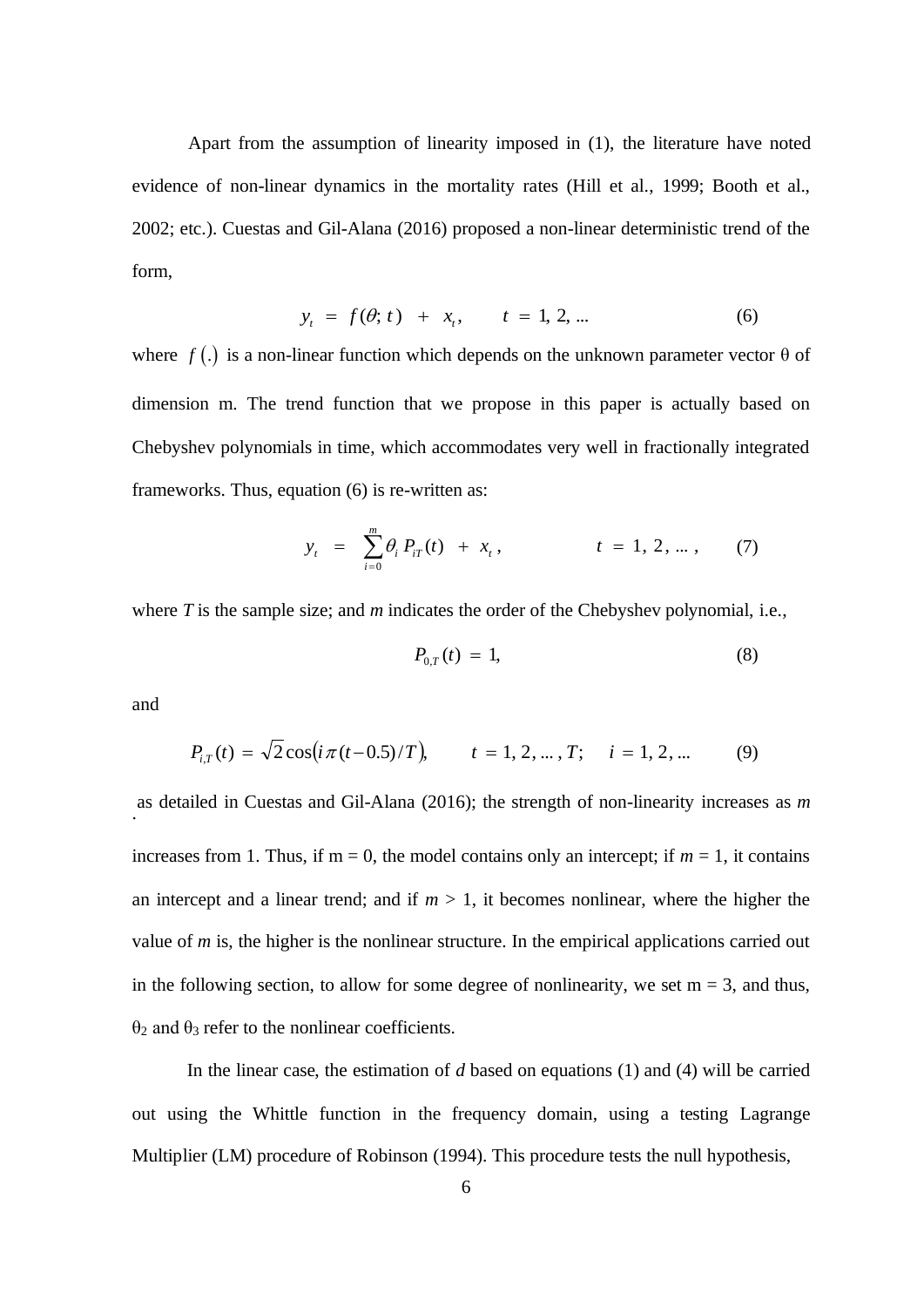Apart from the assumption of linearity imposed in (1), the literature have noted evidence of non-linear dynamics in the mortality rates (Hill et al., 1999; Booth et al., 2002; etc.). Cuestas and Gil-Alana (2016) proposed a non-linear deterministic trend of the form,

$$
y_t = f(\theta; t) + x_t, \qquad t = 1, 2, ... \tag{6}
$$

where  $f(.)$  is a non-linear function which depends on the unknown parameter vector  $\theta$  of dimension m. The trend function that we propose in this paper is actually based on Chebyshev polynomials in time, which accommodates very well in fractionally integrated frameworks. Thus, equation (6) is re-written as:

$$
y_t = \sum_{i=0}^m \theta_i P_{iT}(t) + x_t, \qquad t = 1, 2, ..., \qquad (7)
$$

where *T* is the sample size; and *m* indicates the order of the Chebyshev polynomial, i.e.,

$$
P_{0,T}(t) = 1,\t\t(8)
$$

and

$$
P_{i,T}(t) = \sqrt{2}\cos(i\pi(t-0.5)/T), \qquad t = 1, 2, ..., T; \quad i = 1, 2, ... \tag{9}
$$

. as detailed in Cuestas and Gil-Alana (2016); the strength of non-linearity increases as *m* increases from 1. Thus, if  $m = 0$ , the model contains only an intercept; if  $m = 1$ , it contains an intercept and a linear trend; and if  $m > 1$ , it becomes nonlinear, where the higher the value of *m* is, the higher is the nonlinear structure. In the empirical applications carried out in the following section, to allow for some degree of nonlinearity, we set  $m = 3$ , and thus,  $θ$ <sub>2</sub> and  $θ$ <sub>3</sub> refer to the nonlinear coefficients.

In the linear case, the estimation of *d* based on equations (1) and (4) will be carried out using the Whittle function in the frequency domain, using a testing Lagrange Multiplier (LM) procedure of Robinson (1994). This procedure tests the null hypothesis,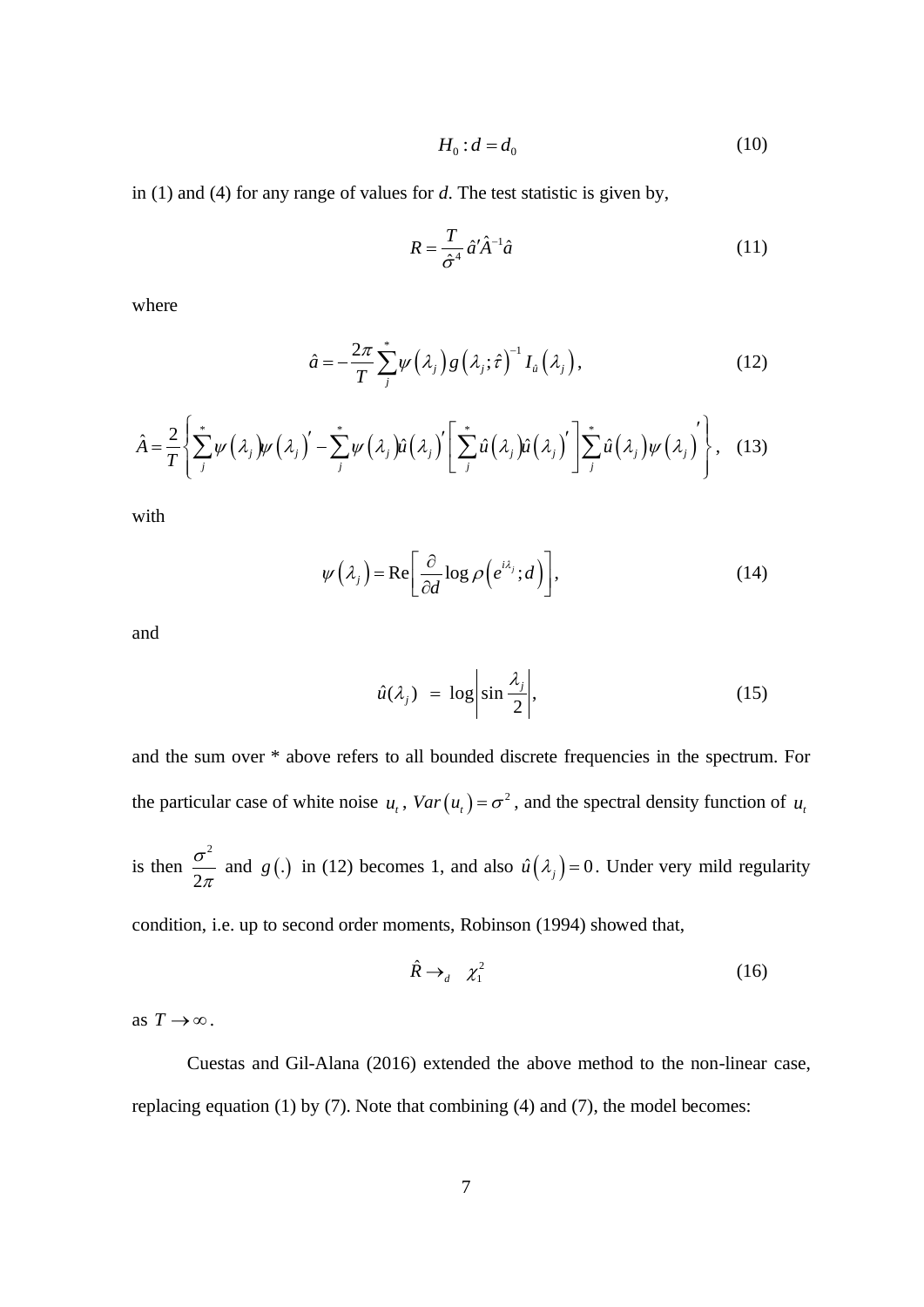$$
H_0: d = d_0 \tag{10}
$$

in (1) and (4) for any range of values for *d*. The test statistic is given by,

$$
R = \frac{T}{\hat{\sigma}^4} \hat{a}' \hat{A}^{-1} \hat{a}
$$
 (11)

where

$$
\hat{a} = -\frac{2\pi}{T} \sum_{j}^{*} \psi\left(\lambda_{j}\right) g\left(\lambda_{j}; \hat{\tau}\right)^{-1} I_{\hat{a}}\left(\lambda_{j}\right), \tag{12}
$$

$$
\hat{a} = -\frac{2\pi}{T} \sum_{j}^{*} \psi(\lambda_j) g(\lambda_j; \hat{\tau})^{-1} I_{\hat{u}}(\lambda_j),
$$
\n(12)\n
$$
\hat{A} = \frac{2}{T} \left\{ \sum_{j}^{*} \psi(\lambda_j) \psi(\lambda_j)' - \sum_{j}^{*} \psi(\lambda_j) \hat{u}(\lambda_j)' \left[ \sum_{j}^{*} \hat{u}(\lambda_j) \hat{u}(\lambda_j)' \right] \sum_{j}^{*} \hat{u}(\lambda_j) \psi(\lambda_j)' \right\},
$$
\n(13)

with

$$
\psi(\lambda_j) = \text{Re}\left[\frac{\partial}{\partial d}\log \rho\left(e^{i\lambda_j};d\right)\right],\tag{14}
$$

and

$$
\hat{u}(\lambda_j) = \log \left| \sin \frac{\lambda_j}{2} \right|,\tag{15}
$$

and the sum over \* above refers to all bounded discrete frequencies in the spectrum. For the particular case of white noise  $u_t$ ,  $Var(u_t) = \sigma^2$ , and the spectral density function of  $u_t$ 

is then 2 2 σ  $\frac{1}{\pi}$  and  $g(.)$  in (12) becomes 1, and also  $\hat{u}(\lambda_j) = 0$ . Under very mild regularity

condition, i.e. up to second order moments, Robinson (1994) showed that,

$$
\hat{R} \to_d \quad \chi_1^2 \tag{16}
$$

as  $T \rightarrow \infty$ .

Cuestas and Gil-Alana (2016) extended the above method to the non-linear case, replacing equation (1) by (7). Note that combining (4) and (7), the model becomes: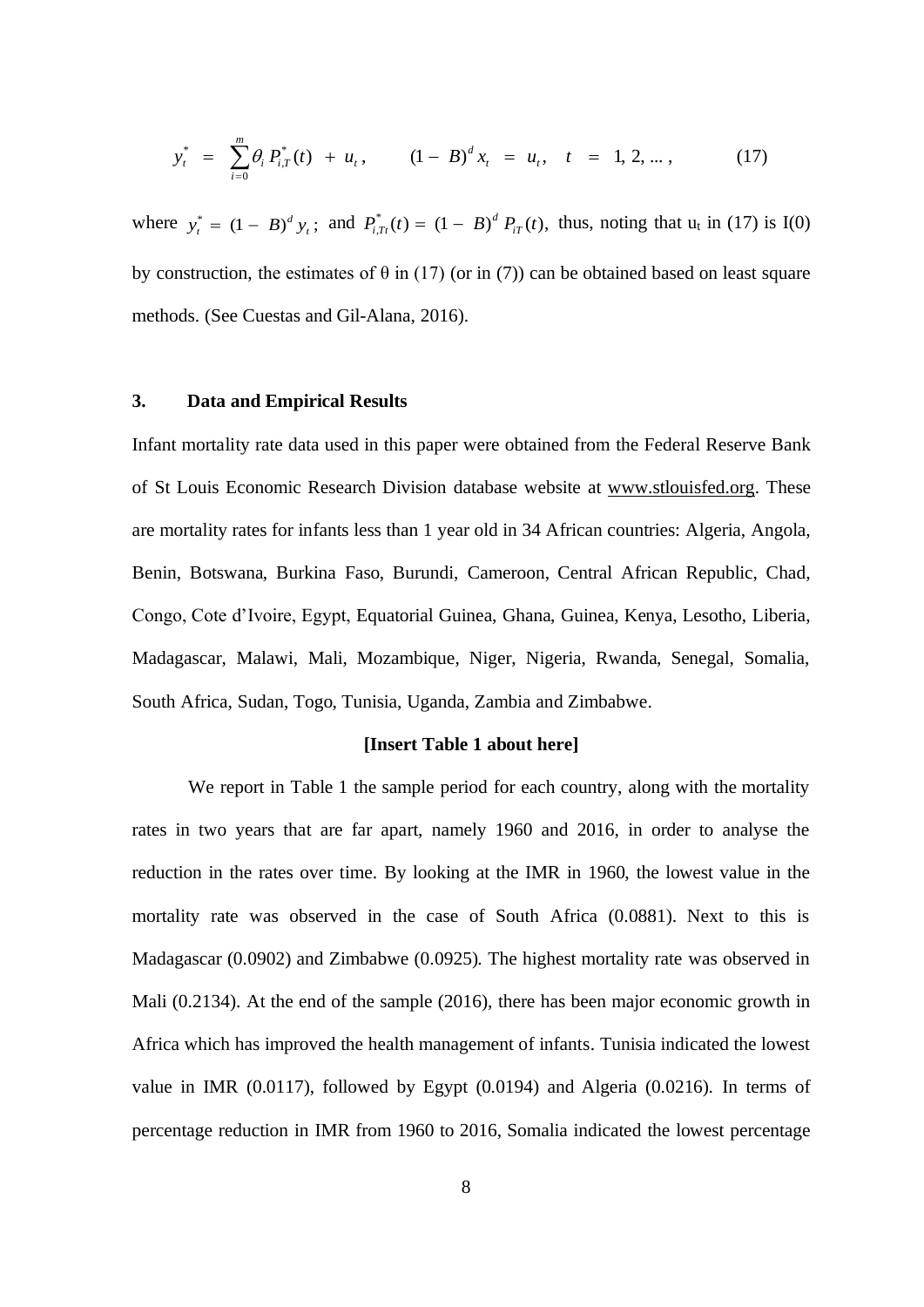$$
y_t^* = \sum_{i=0}^m \theta_i P_{i,T}^*(t) + u_t, \qquad (1-B)^d x_t = u_t, \quad t = 1, 2, ..., \qquad (17)
$$

where  $y_t^* = (1 - B)^d y_t$ ; and  $P_{i,Tr}^*(t) = (1 - B)^d P_{i,Tr}(t)$ , *d*  $j_{i,Tr}^*(t) = (1 - B)^d P_{iT}(t)$ , thus, noting that  $u_t$  in (17) is I(0) by construction, the estimates of  $\theta$  in (17) (or in (7)) can be obtained based on least square methods. (See Cuestas and Gil-Alana, 2016).

## **3. Data and Empirical Results**

Infant mortality rate data used in this paper were obtained from the Federal Reserve Bank of St Louis Economic Research Division database website at [www.stlouisfed.org.](http://www.stlouisfed.org/) These are mortality rates for infants less than 1 year old in 34 African countries: Algeria, Angola, Benin, Botswana, Burkina Faso, Burundi, Cameroon, Central African Republic, Chad, Congo, Cote d'Ivoire, Egypt, Equatorial Guinea, Ghana, Guinea, Kenya, Lesotho, Liberia, Madagascar, Malawi, Mali, Mozambique, Niger, Nigeria, Rwanda, Senegal, Somalia, South Africa, Sudan, Togo, Tunisia, Uganda, Zambia and Zimbabwe.

### **[Insert Table 1 about here]**

We report in Table 1 the sample period for each country, along with the mortality rates in two years that are far apart, namely 1960 and 2016, in order to analyse the reduction in the rates over time. By looking at the IMR in 1960, the lowest value in the mortality rate was observed in the case of South Africa (0.0881). Next to this is Madagascar (0.0902) and Zimbabwe (0.0925). The highest mortality rate was observed in Mali (0.2134). At the end of the sample (2016), there has been major economic growth in Africa which has improved the health management of infants. Tunisia indicated the lowest value in IMR (0.0117), followed by Egypt (0.0194) and Algeria (0.0216). In terms of percentage reduction in IMR from 1960 to 2016, Somalia indicated the lowest percentage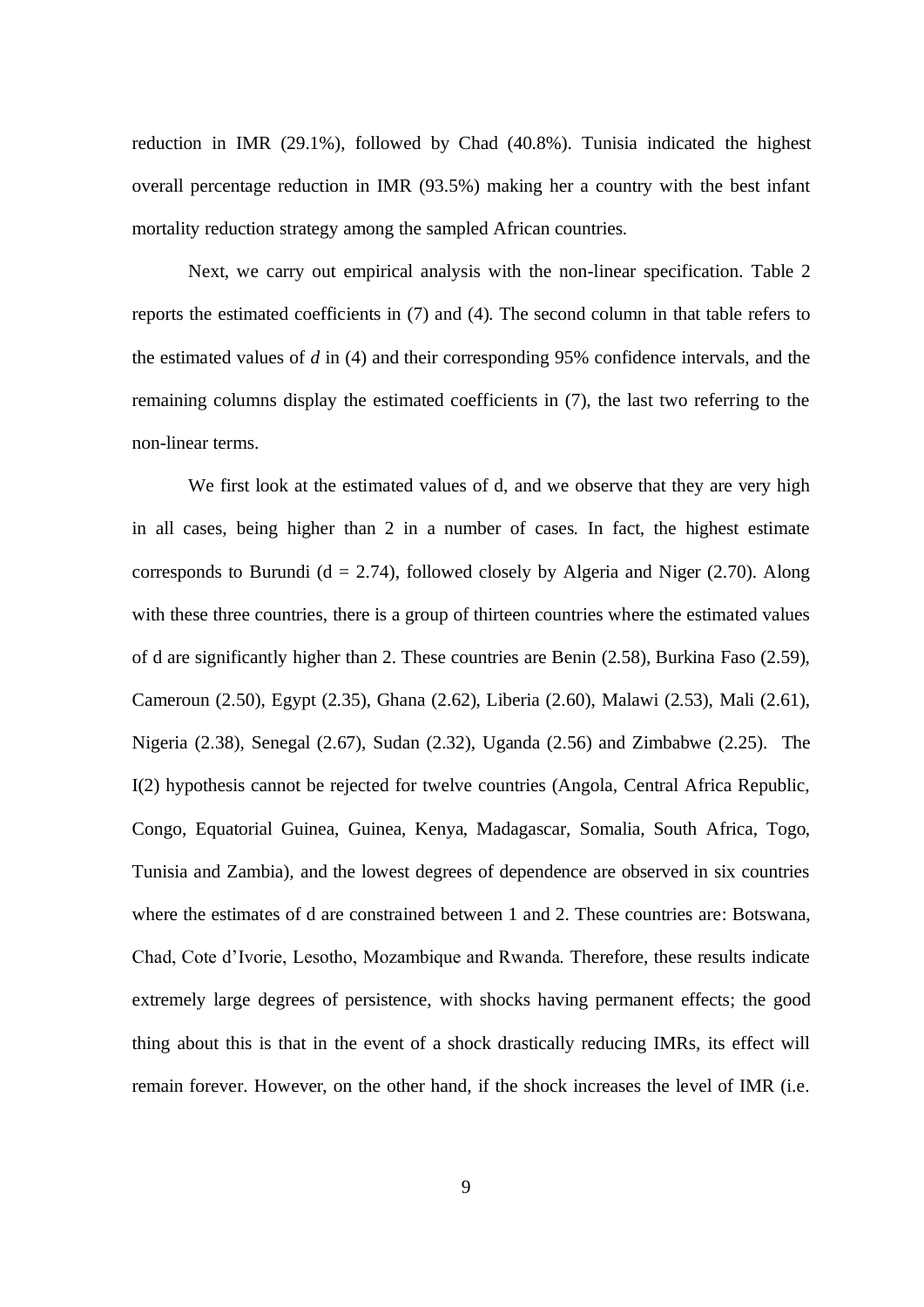reduction in IMR (29.1%), followed by Chad (40.8%). Tunisia indicated the highest overall percentage reduction in IMR (93.5%) making her a country with the best infant mortality reduction strategy among the sampled African countries.

Next, we carry out empirical analysis with the non-linear specification. Table 2 reports the estimated coefficients in (7) and (4). The second column in that table refers to the estimated values of *d* in (4) and their corresponding 95% confidence intervals, and the remaining columns display the estimated coefficients in (7), the last two referring to the non-linear terms.

We first look at the estimated values of d, and we observe that they are very high in all cases, being higher than 2 in a number of cases. In fact, the highest estimate corresponds to Burundi ( $d = 2.74$ ), followed closely by Algeria and Niger (2.70). Along with these three countries, there is a group of thirteen countries where the estimated values of d are significantly higher than 2. These countries are Benin (2.58), Burkina Faso (2.59), Cameroun (2.50), Egypt (2.35), Ghana (2.62), Liberia (2.60), Malawi (2.53), Mali (2.61), Nigeria (2.38), Senegal (2.67), Sudan (2.32), Uganda (2.56) and Zimbabwe (2.25). The I(2) hypothesis cannot be rejected for twelve countries (Angola, Central Africa Republic, Congo, Equatorial Guinea, Guinea, Kenya, Madagascar, Somalia, South Africa, Togo, Tunisia and Zambia), and the lowest degrees of dependence are observed in six countries where the estimates of d are constrained between 1 and 2. These countries are: Botswana, Chad, Cote d'Ivorie, Lesotho, Mozambique and Rwanda. Therefore, these results indicate extremely large degrees of persistence, with shocks having permanent effects; the good thing about this is that in the event of a shock drastically reducing IMRs, its effect will remain forever. However, on the other hand, if the shock increases the level of IMR (i.e.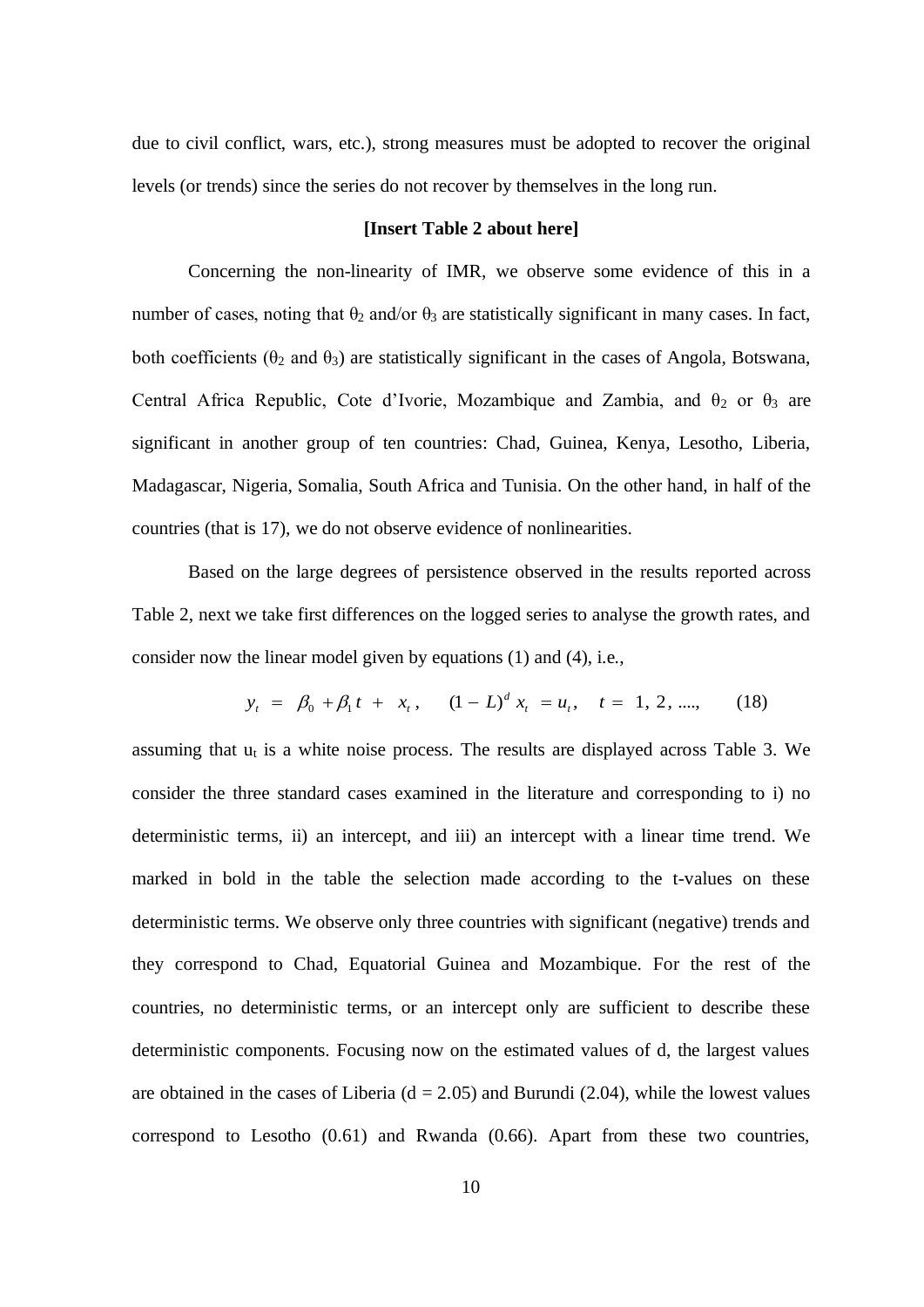due to civil conflict, wars, etc.), strong measures must be adopted to recover the original levels (or trends) since the series do not recover by themselves in the long run.

### **[Insert Table 2 about here]**

Concerning the non-linearity of IMR, we observe some evidence of this in a number of cases, noting that  $\theta_2$  and/or  $\theta_3$  are statistically significant in many cases. In fact, both coefficients ( $\theta_2$  and  $\theta_3$ ) are statistically significant in the cases of Angola, Botswana, Central Africa Republic, Cote d'Ivorie, Mozambique and Zambia, and  $\theta_2$  or  $\theta_3$  are significant in another group of ten countries: Chad, Guinea, Kenya, Lesotho, Liberia, Madagascar, Nigeria, Somalia, South Africa and Tunisia. On the other hand, in half of the countries (that is 17), we do not observe evidence of nonlinearities.

Based on the large degrees of persistence observed in the results reported across Table 2, next we take first differences on the logged series to analyse the growth rates, and consider now the linear model given by equations (1) and (4), i.e.,

$$
y_t = \beta_0 + \beta_1 t + x_t, \quad (1 - L)^d x_t = u_t, \quad t = 1, 2, \dots, \quad (18)
$$

assuming that  $u_t$  is a white noise process. The results are displayed across Table 3. We consider the three standard cases examined in the literature and corresponding to i) no deterministic terms, ii) an intercept, and iii) an intercept with a linear time trend. We marked in bold in the table the selection made according to the t-values on these deterministic terms. We observe only three countries with significant (negative) trends and they correspond to Chad, Equatorial Guinea and Mozambique. For the rest of the countries, no deterministic terms, or an intercept only are sufficient to describe these deterministic components. Focusing now on the estimated values of d, the largest values are obtained in the cases of Liberia ( $d = 2.05$ ) and Burundi (2.04), while the lowest values correspond to Lesotho (0.61) and Rwanda (0.66). Apart from these two countries,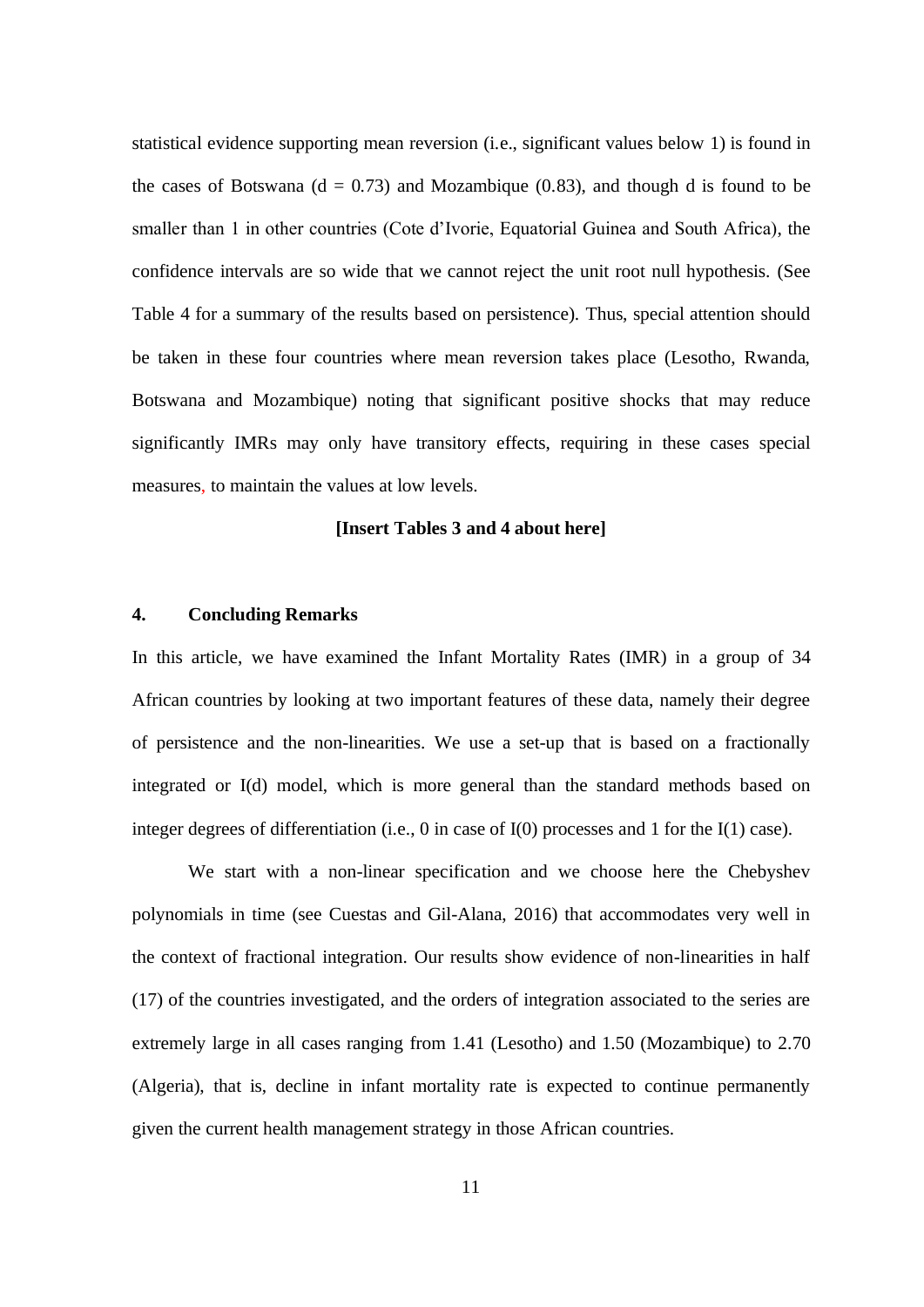statistical evidence supporting mean reversion (i.e., significant values below 1) is found in the cases of Botswana ( $d = 0.73$ ) and Mozambique (0.83), and though d is found to be smaller than 1 in other countries (Cote d'Ivorie, Equatorial Guinea and South Africa), the confidence intervals are so wide that we cannot reject the unit root null hypothesis. (See Table 4 for a summary of the results based on persistence). Thus, special attention should be taken in these four countries where mean reversion takes place (Lesotho, Rwanda, Botswana and Mozambique) noting that significant positive shocks that may reduce significantly IMRs may only have transitory effects, requiring in these cases special measures, to maintain the values at low levels.

### **[Insert Tables 3 and 4 about here]**

#### **4. Concluding Remarks**

In this article, we have examined the Infant Mortality Rates (IMR) in a group of 34 African countries by looking at two important features of these data, namely their degree of persistence and the non-linearities. We use a set-up that is based on a fractionally integrated or I(d) model, which is more general than the standard methods based on integer degrees of differentiation (i.e., 0 in case of I(0) processes and 1 for the I(1) case).

We start with a non-linear specification and we choose here the Chebyshev polynomials in time (see Cuestas and Gil-Alana, 2016) that accommodates very well in the context of fractional integration. Our results show evidence of non-linearities in half (17) of the countries investigated, and the orders of integration associated to the series are extremely large in all cases ranging from 1.41 (Lesotho) and 1.50 (Mozambique) to 2.70 (Algeria), that is, decline in infant mortality rate is expected to continue permanently given the current health management strategy in those African countries.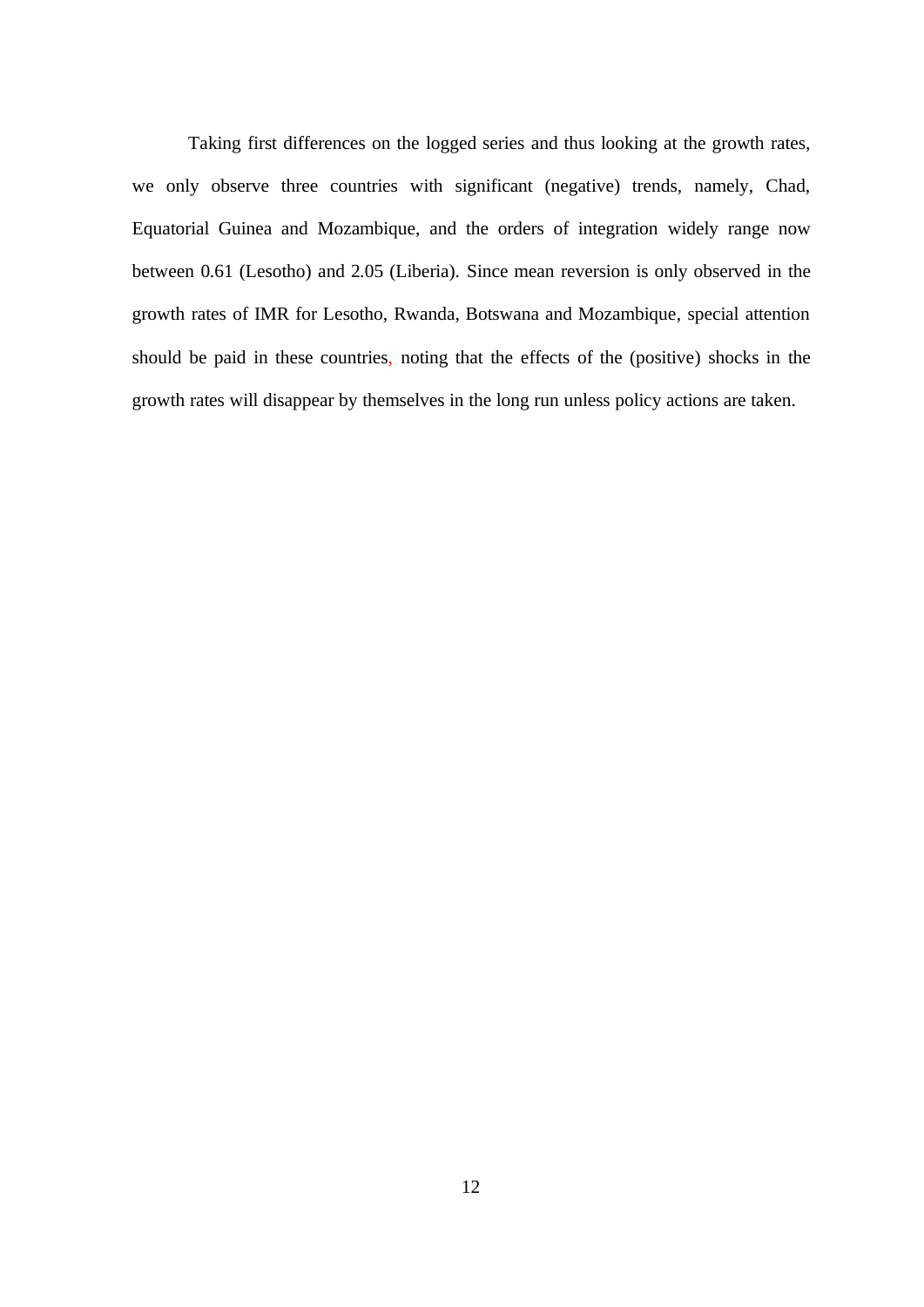Taking first differences on the logged series and thus looking at the growth rates, we only observe three countries with significant (negative) trends, namely, Chad, Equatorial Guinea and Mozambique, and the orders of integration widely range now between 0.61 (Lesotho) and 2.05 (Liberia). Since mean reversion is only observed in the growth rates of IMR for Lesotho, Rwanda, Botswana and Mozambique, special attention should be paid in these countries, noting that the effects of the (positive) shocks in the growth rates will disappear by themselves in the long run unless policy actions are taken.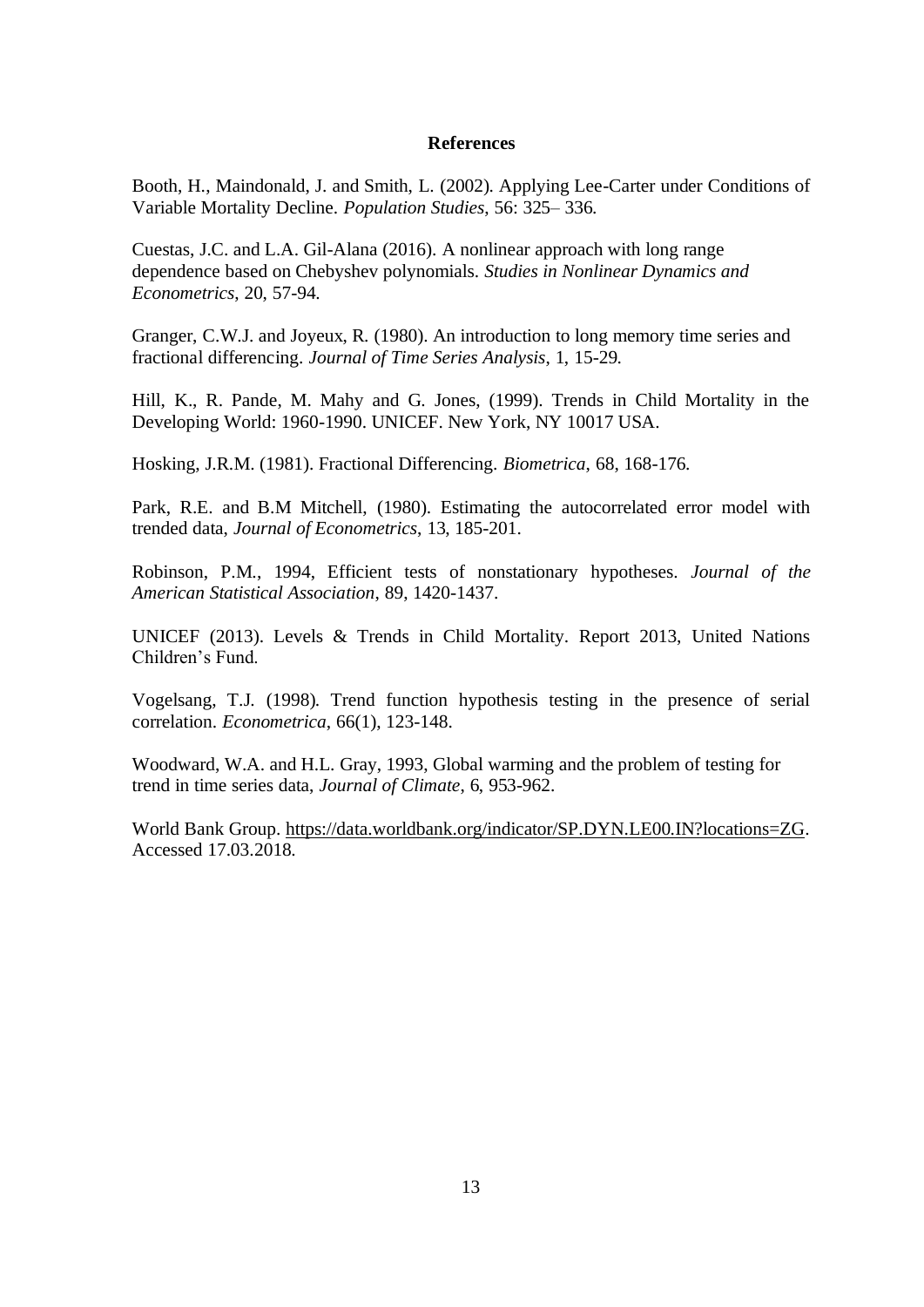### **References**

Booth, H., Maindonald, J. and Smith, L. (2002). Applying Lee-Carter under Conditions of Variable Mortality Decline. *Population Studies*, 56: 325– 336.

Cuestas, J.C. and L.A. Gil-Alana (2016). A nonlinear approach with long range dependence based on Chebyshev polynomials. *Studies in Nonlinear Dynamics and Econometrics*, 20, 57-94.

Granger, C.W.J. and Joyeux, R. (1980). An introduction to long memory time series and fractional differencing. *Journal of Time Series Analysis*, 1, 15-29.

Hill, K., R. Pande, M. Mahy and G. Jones, (1999). Trends in Child Mortality in the Developing World: 1960-1990. UNICEF. New York, NY 10017 USA.

Hosking, J.R.M. (1981). Fractional Differencing. *Biometrica*, 68, 168-176.

Park, R.E. and B.M Mitchell, (1980). Estimating the autocorrelated error model with trended data, *Journal of Econometrics*, 13, 185-201.

Robinson, P.M., 1994, Efficient tests of nonstationary hypotheses. *Journal of the American Statistical Association*, 89, 1420-1437.

UNICEF (2013). Levels & Trends in Child Mortality. Report 2013, United Nations Children's Fund.

Vogelsang, T.J. (1998). Trend function hypothesis testing in the presence of serial correlation. *Econometrica*, 66(1), 123-148.

Woodward, W.A. and H.L. Gray, 1993, Global warming and the problem of testing for trend in time series data, *Journal of Climate*, 6, 953-962.

World Bank Group[. https://data.worldbank.org/indicator/SP.DYN.LE00.IN?locations=ZG.](https://data.worldbank.org/indicator/SP.DYN.LE00.IN?locations=ZG) Accessed 17.03.2018.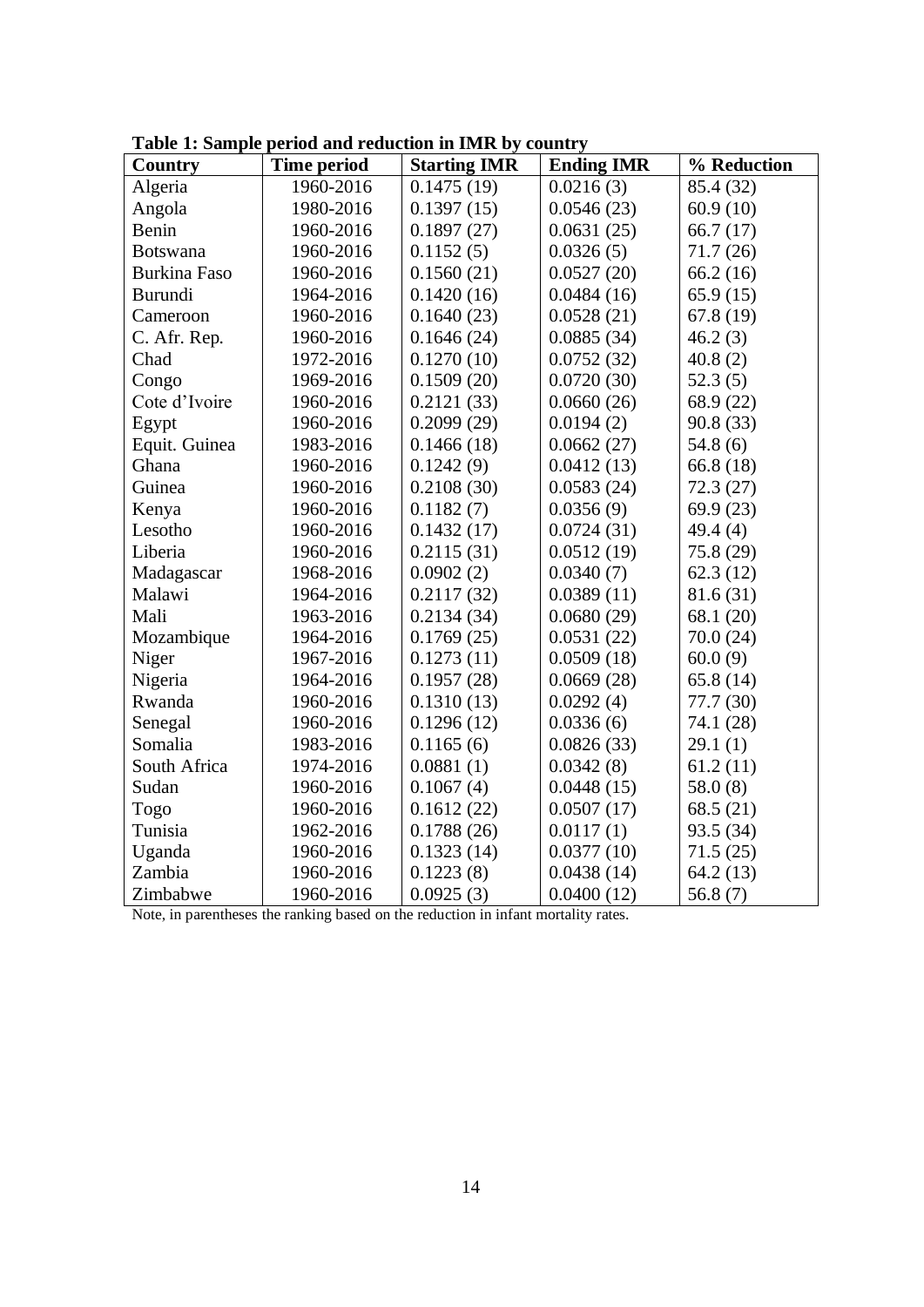| Country             | <b>Time period</b> | <b>Starting IMR</b> | <b>Ending IMR</b> | % Reduction |
|---------------------|--------------------|---------------------|-------------------|-------------|
| Algeria             | 1960-2016          | 0.1475(19)          | 0.0216(3)         | 85.4 (32)   |
| Angola              | 1980-2016          | 0.1397(15)          | 0.0546(23)        | 60.9(10)    |
| Benin               | 1960-2016          | 0.1897(27)          | 0.0631(25)        | 66.7 $(17)$ |
| Botswana            | 1960-2016          | 0.1152(5)           | 0.0326(5)         | 71.7 (26)   |
| <b>Burkina Faso</b> | 1960-2016          | 0.1560(21)          | 0.0527(20)        | 66.2(16)    |
| <b>Burundi</b>      | 1964-2016          | 0.1420(16)          | 0.0484(16)        | 65.9(15)    |
| Cameroon            | 1960-2016          | 0.1640(23)          | 0.0528(21)        | 67.8 (19)   |
| C. Afr. Rep.        | 1960-2016          | 0.1646(24)          | 0.0885(34)        | 46.2(3)     |
| Chad                | 1972-2016          | 0.1270(10)          | 0.0752(32)        | 40.8(2)     |
| Congo               | 1969-2016          | 0.1509(20)          | 0.0720(30)        | 52.3(5)     |
| Cote d'Ivoire       | 1960-2016          | 0.2121(33)          | 0.0660(26)        | 68.9 (22)   |
| Egypt               | 1960-2016          | 0.2099(29)          | 0.0194(2)         | 90.8 (33)   |
| Equit. Guinea       | 1983-2016          | 0.1466(18)          | 0.0662(27)        | 54.8(6)     |
| Ghana               | 1960-2016          | 0.1242(9)           | 0.0412(13)        | 66.8 (18)   |
| Guinea              | 1960-2016          | 0.2108(30)          | 0.0583(24)        | 72.3(27)    |
| Kenya               | 1960-2016          | 0.1182(7)           | 0.0356(9)         | 69.9(23)    |
| Lesotho             | 1960-2016          | 0.1432(17)          | 0.0724(31)        | 49.4(4)     |
| Liberia             | 1960-2016          | 0.2115(31)          | 0.0512(19)        | 75.8 (29)   |
| Madagascar          | 1968-2016          | 0.0902(2)           | 0.0340(7)         | 62.3(12)    |
| Malawi              | 1964-2016          | 0.2117(32)          | 0.0389(11)        | 81.6 (31)   |
| Mali                | 1963-2016          | 0.2134(34)          | 0.0680(29)        | 68.1 (20)   |
| Mozambique          | 1964-2016          | 0.1769(25)          | 0.0531(22)        | 70.0(24)    |
| Niger               | 1967-2016          | 0.1273(11)          | 0.0509(18)        | 60.0(9)     |
| Nigeria             | 1964-2016          | 0.1957(28)          | 0.0669(28)        | 65.8(14)    |
| Rwanda              | 1960-2016          | 0.1310(13)          | 0.0292(4)         | 77.7 (30)   |
| Senegal             | 1960-2016          | 0.1296(12)          | 0.0336(6)         | 74.1 (28)   |
| Somalia             | 1983-2016          | 0.1165(6)           | 0.0826(33)        | 29.1(1)     |
| South Africa        | 1974-2016          | 0.0881(1)           | 0.0342(8)         | 61.2(11)    |
| Sudan               | 1960-2016          | 0.1067(4)           | 0.0448(15)        | 58.0(8)     |
| Togo                | 1960-2016          | 0.1612(22)          | 0.0507(17)        | 68.5 (21)   |
| Tunisia             | 1962-2016          | 0.1788(26)          | 0.0117(1)         | 93.5 (34)   |
| Uganda              | 1960-2016          | 0.1323(14)          | 0.0377(10)        | 71.5(25)    |
| Zambia              | 1960-2016          | 0.1223(8)           | 0.0438(14)        | 64.2(13)    |
| Zimbabwe            | 1960-2016          | 0.0925(3)           | 0.0400(12)        | 56.8 $(7)$  |

**Table 1: Sample period and reduction in IMR by country**

Note, in parentheses the ranking based on the reduction in infant mortality rates.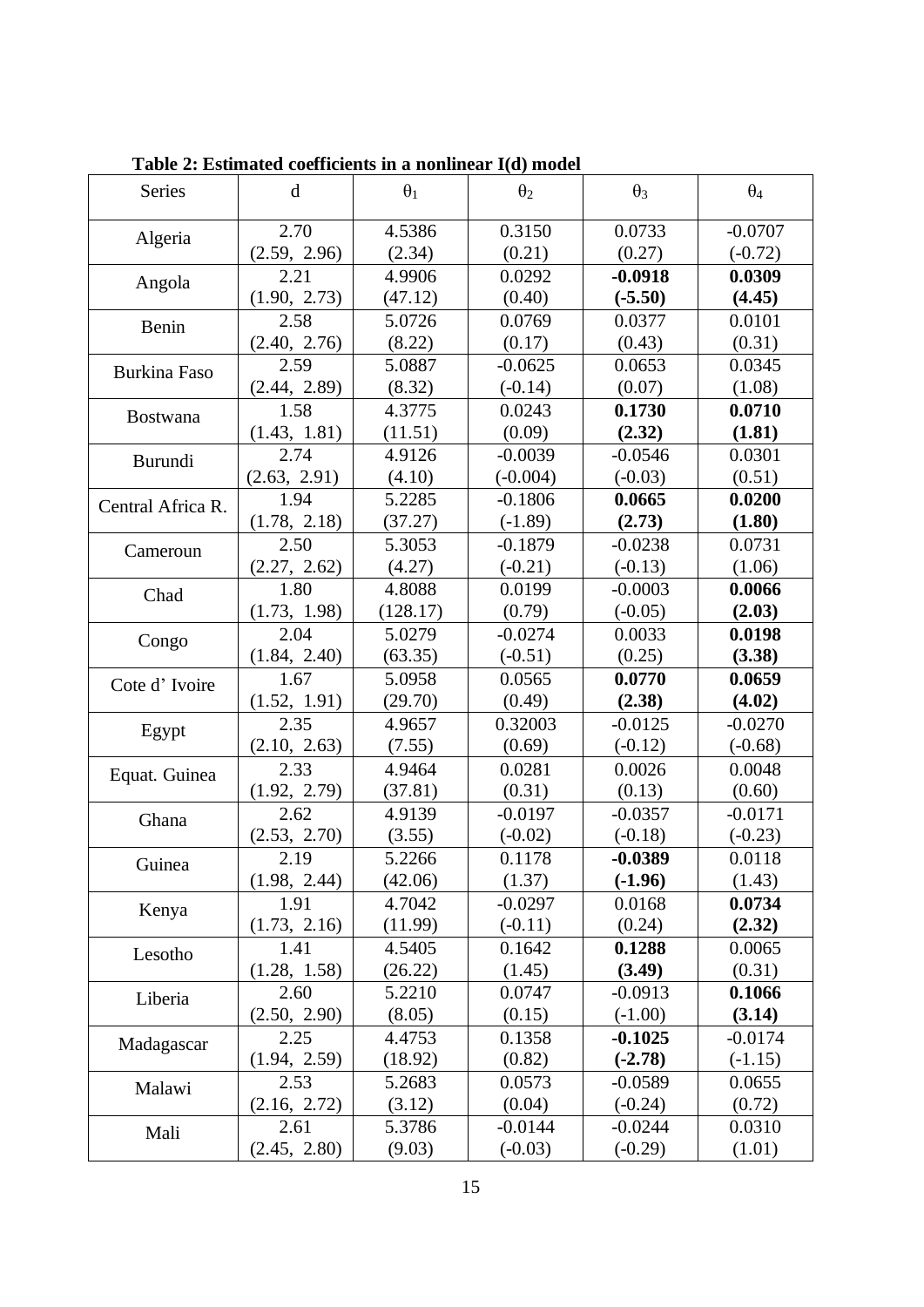| <b>Series</b>       | $\mathbf d$  | $\theta_1$ | $\theta_2$ | $\theta_3$ | $\theta_4$ |
|---------------------|--------------|------------|------------|------------|------------|
| Algeria             | 2.70         | 4.5386     | 0.3150     | 0.0733     | $-0.0707$  |
|                     | (2.59, 2.96) | (2.34)     | (0.21)     | (0.27)     | $(-0.72)$  |
| Angola              | 2.21         | 4.9906     | 0.0292     | $-0.0918$  | 0.0309     |
|                     | (1.90, 2.73) | (47.12)    | (0.40)     | $(-5.50)$  | (4.45)     |
| Benin               | 2.58         | 5.0726     | 0.0769     | 0.0377     | 0.0101     |
|                     | (2.40, 2.76) | (8.22)     | (0.17)     | (0.43)     | (0.31)     |
| <b>Burkina Faso</b> | 2.59         | 5.0887     | $-0.0625$  | 0.0653     | 0.0345     |
|                     | (2.44, 2.89) | (8.32)     | $(-0.14)$  | (0.07)     | (1.08)     |
| <b>Bostwana</b>     | 1.58         | 4.3775     | 0.0243     | 0.1730     | 0.0710     |
|                     | (1.43, 1.81) | (11.51)    | (0.09)     | (2.32)     | (1.81)     |
| <b>Burundi</b>      | 2.74         | 4.9126     | $-0.0039$  | $-0.0546$  | 0.0301     |
|                     | (2.63, 2.91) | (4.10)     | $(-0.004)$ | $(-0.03)$  | (0.51)     |
| Central Africa R.   | 1.94         | 5.2285     | $-0.1806$  | 0.0665     | 0.0200     |
|                     | (1.78, 2.18) | (37.27)    | $(-1.89)$  | (2.73)     | (1.80)     |
| Cameroun            | 2.50         | 5.3053     | $-0.1879$  | $-0.0238$  | 0.0731     |
|                     | (2.27, 2.62) | (4.27)     | $(-0.21)$  | $(-0.13)$  | (1.06)     |
| Chad                | 1.80         | 4.8088     | 0.0199     | $-0.0003$  | 0.0066     |
|                     | (1.73, 1.98) | (128.17)   | (0.79)     | $(-0.05)$  | (2.03)     |
| Congo               | 2.04         | 5.0279     | $-0.0274$  | 0.0033     | 0.0198     |
|                     | (1.84, 2.40) | (63.35)    | $(-0.51)$  | (0.25)     | (3.38)     |
| Cote d'Ivoire       | 1.67         | 5.0958     | 0.0565     | 0.0770     | 0.0659     |
|                     | (1.52, 1.91) | (29.70)    | (0.49)     | (2.38)     | (4.02)     |
| Egypt               | 2.35         | 4.9657     | 0.32003    | $-0.0125$  | $-0.0270$  |
|                     | (2.10, 2.63) | (7.55)     | (0.69)     | $(-0.12)$  | $(-0.68)$  |
| Equat. Guinea       | 2.33         | 4.9464     | 0.0281     | 0.0026     | 0.0048     |
|                     | (1.92, 2.79) | (37.81)    | (0.31)     | (0.13)     | (0.60)     |
| Ghana               | 2.62         | 4.9139     | $-0.0197$  | $-0.0357$  | $-0.0171$  |
|                     | (2.53, 2.70) | (3.55)     | $(-0.02)$  | $(-0.18)$  | $(-0.23)$  |
| Guinea              | 2.19         | 5.2266     | 0.1178     | $-0.0389$  | 0.0118     |
|                     | (1.98, 2.44) | (42.06)    | (1.37)     | $(-1.96)$  | (1.43)     |
| Kenya               | 1.91         | 4.7042     | $-0.0297$  | 0.0168     | 0.0734     |
|                     | (1.73, 2.16) | (11.99)    | $(-0.11)$  | (0.24)     | (2.32)     |
| Lesotho             | 1.41         | 4.5405     | 0.1642     | 0.1288     | 0.0065     |
|                     | (1.28, 1.58) | (26.22)    | (1.45)     | (3.49)     | (0.31)     |
| Liberia             | 2.60         | 5.2210     | 0.0747     | $-0.0913$  | 0.1066     |
|                     | (2.50, 2.90) | (8.05)     | (0.15)     | $(-1.00)$  | (3.14)     |
| Madagascar          | 2.25         | 4.4753     | 0.1358     | $-0.1025$  | $-0.0174$  |
|                     | (1.94, 2.59) | (18.92)    | (0.82)     | $(-2.78)$  | $(-1.15)$  |
| Malawi              | 2.53         | 5.2683     | 0.0573     | $-0.0589$  | 0.0655     |
|                     | (2.16, 2.72) | (3.12)     | (0.04)     | $(-0.24)$  | (0.72)     |
| Mali                | 2.61         | 5.3786     | $-0.0144$  | $-0.0244$  | 0.0310     |
|                     | (2.45, 2.80) | (9.03)     | $(-0.03)$  | $(-0.29)$  | (1.01)     |

**Table 2: Estimated coefficients in a nonlinear I(d) model**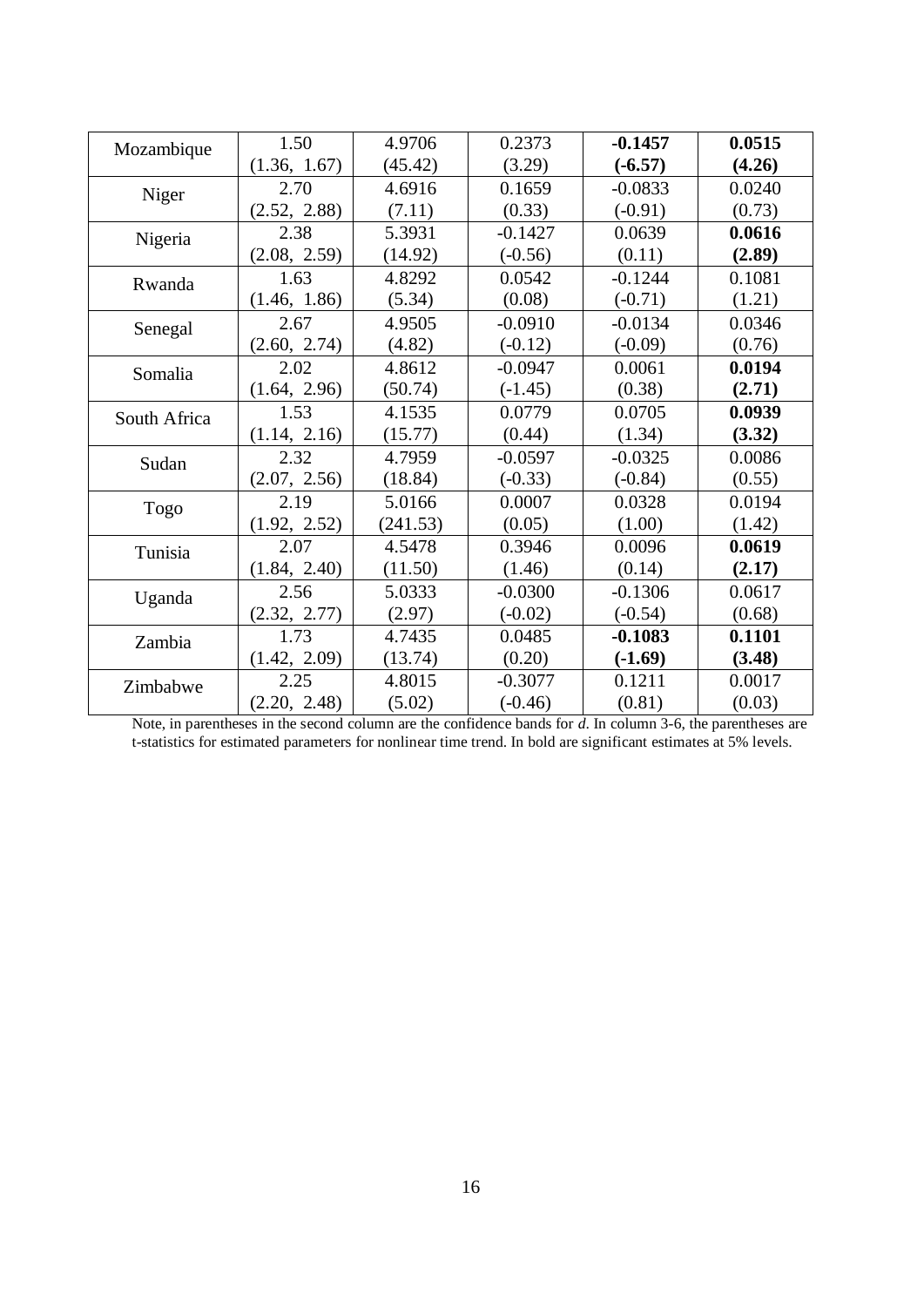| Mozambique   | 1.50         | 4.9706   | 0.2373    | $-0.1457$ | 0.0515 |
|--------------|--------------|----------|-----------|-----------|--------|
|              | (1.36, 1.67) | (45.42)  | (3.29)    | $(-6.57)$ | (4.26) |
| Niger        | 2.70         | 4.6916   | 0.1659    | $-0.0833$ | 0.0240 |
|              | (2.52, 2.88) | (7.11)   | (0.33)    | $(-0.91)$ | (0.73) |
| Nigeria      | 2.38         | 5.3931   | $-0.1427$ | 0.0639    | 0.0616 |
|              | (2.08, 2.59) | (14.92)  | $(-0.56)$ | (0.11)    | (2.89) |
| Rwanda       | 1.63         | 4.8292   | 0.0542    | $-0.1244$ | 0.1081 |
|              | (1.46, 1.86) | (5.34)   | (0.08)    | $(-0.71)$ | (1.21) |
| Senegal      | 2.67         | 4.9505   | $-0.0910$ | $-0.0134$ | 0.0346 |
|              | (2.60, 2.74) | (4.82)   | $(-0.12)$ | $(-0.09)$ | (0.76) |
| Somalia      | 2.02         | 4.8612   | $-0.0947$ | 0.0061    | 0.0194 |
|              | (1.64, 2.96) | (50.74)  | $(-1.45)$ | (0.38)    | (2.71) |
| South Africa | 1.53         | 4.1535   | 0.0779    | 0.0705    | 0.0939 |
|              | (1.14, 2.16) | (15.77)  | (0.44)    | (1.34)    | (3.32) |
| Sudan        | 2.32         | 4.7959   | $-0.0597$ | $-0.0325$ | 0.0086 |
|              | (2.07, 2.56) | (18.84)  | $(-0.33)$ | $(-0.84)$ | (0.55) |
| Togo         | 2.19         | 5.0166   | 0.0007    | 0.0328    | 0.0194 |
|              | (1.92, 2.52) | (241.53) | (0.05)    | (1.00)    | (1.42) |
| Tunisia      | 2.07         | 4.5478   | 0.3946    | 0.0096    | 0.0619 |
|              | (1.84, 2.40) | (11.50)  | (1.46)    | (0.14)    | (2.17) |
| Uganda       | 2.56         | 5.0333   | $-0.0300$ | $-0.1306$ | 0.0617 |
|              | (2.32, 2.77) | (2.97)   | $(-0.02)$ | $(-0.54)$ | (0.68) |
| Zambia       | 1.73         | 4.7435   | 0.0485    | $-0.1083$ | 0.1101 |
|              | (1.42, 2.09) | (13.74)  | (0.20)    | $(-1.69)$ | (3.48) |
| Zimbabwe     | 2.25         | 4.8015   | $-0.3077$ | 0.1211    | 0.0017 |
|              | (2.20, 2.48) | (5.02)   | $(-0.46)$ | (0.81)    | (0.03) |

Note, in parentheses in the second column are the confidence bands for *d*. In column 3-6, the parentheses are t-statistics for estimated parameters for nonlinear time trend. In bold are significant estimates at 5% levels.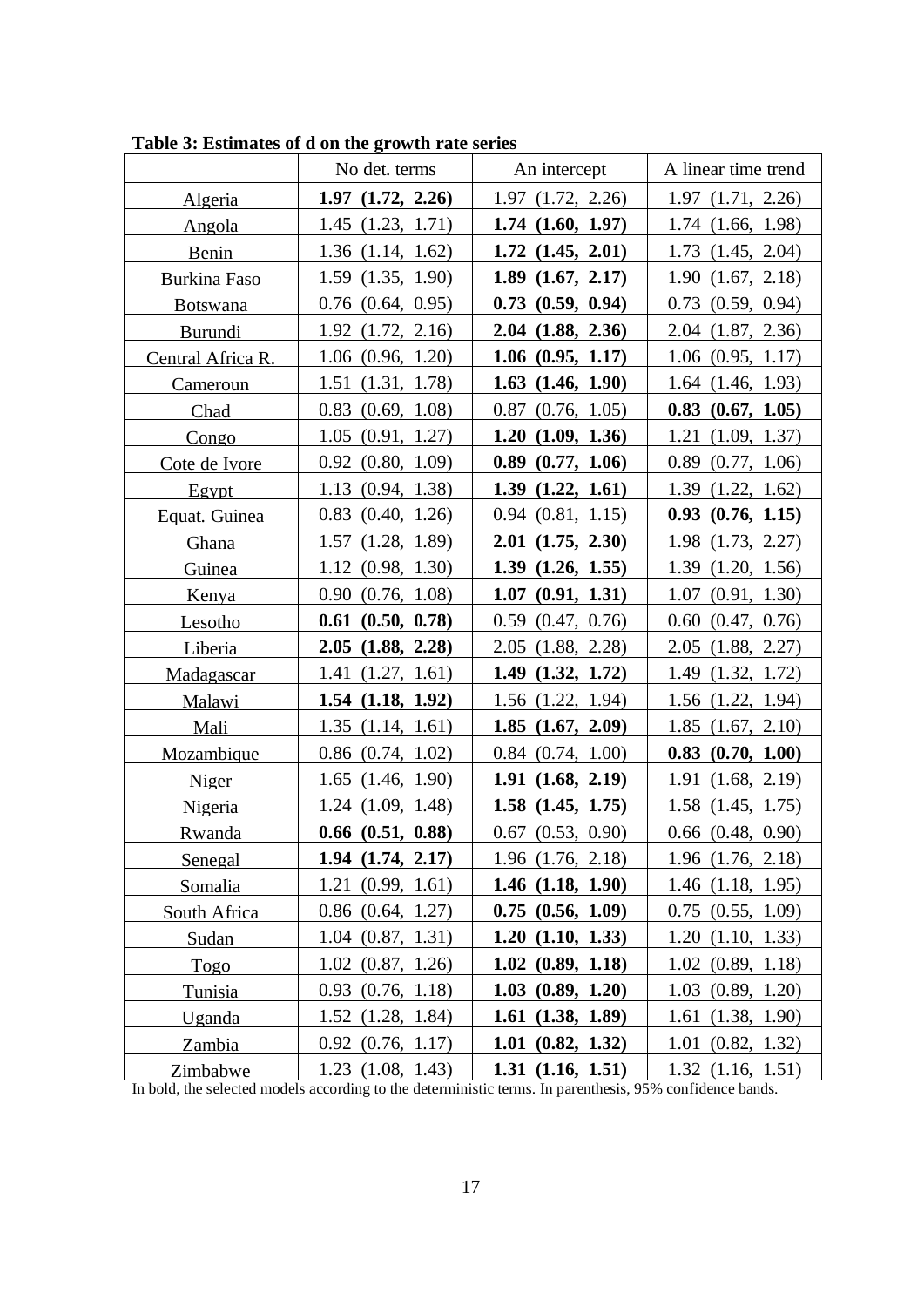|                   | No det. terms         | An intercept          | A linear time trend   |
|-------------------|-----------------------|-----------------------|-----------------------|
| Algeria           | $1.97 \ (1.72, 2.26)$ | $1.97$ $(1.72, 2.26)$ | $1.97$ $(1.71, 2.26)$ |
| Angola            | $1.45$ $(1.23, 1.71)$ | $1.74$ $(1.60, 1.97)$ | $1.74$ $(1.66, 1.98)$ |
| Benin             | $1.36$ $(1.14, 1.62)$ | $1.72$ $(1.45, 2.01)$ | $1.73$ $(1.45, 2.04)$ |
| Burkina Faso      | $1.59$ $(1.35, 1.90)$ | $1.89$ $(1.67, 2.17)$ | 1.90(1.67, 2.18)      |
| <b>Botswana</b>   | $0.76$ $(0.64, 0.95)$ | $0.73$ $(0.59, 0.94)$ | $0.73$ $(0.59, 0.94)$ |
| <b>Burundi</b>    | $1.92$ $(1.72, 2.16)$ | $2.04$ $(1.88, 2.36)$ | $2.04$ $(1.87, 2.36)$ |
| Central Africa R. | $1.06$ $(0.96, 1.20)$ | $1.06$ $(0.95, 1.17)$ | $1.06$ $(0.95, 1.17)$ |
| <b>Cameroun</b>   | $1.51$ $(1.31, 1.78)$ | $1.63$ $(1.46, 1.90)$ | $1.64$ $(1.46, 1.93)$ |
| Chad              | $0.83$ $(0.69, 1.08)$ | $0.87$ $(0.76, 1.05)$ | $0.83$ $(0.67, 1.05)$ |
| Congo             | $1.05$ $(0.91, 1.27)$ | 1.20(1.09, 1.36)      | $1.21$ $(1.09, 1.37)$ |
| Cote de Ivore     | $0.92$ $(0.80, 1.09)$ | $0.89$ $(0.77, 1.06)$ | $0.89$ $(0.77, 1.06)$ |
| Egypt             | 1.13(0.94, 1.38)      | $1.39$ $(1.22, 1.61)$ | $1.39$ $(1.22, 1.62)$ |
| Equat. Guinea     | $0.83$ $(0.40, 1.26)$ | $0.94$ $(0.81, 1.15)$ | $0.93$ $(0.76, 1.15)$ |
| Ghana             | $1.57$ $(1.28, 1.89)$ | $2.01$ $(1.75, 2.30)$ | 1.98 (1.73, 2.27)     |
| Guinea            | $1.12 \ (0.98, 1.30)$ | $1.39$ $(1.26, 1.55)$ | $1.39$ $(1.20, 1.56)$ |
| Kenya             | 0.90(0.76, 1.08)      | $1.07$ $(0.91, 1.31)$ | $1.07$ $(0.91, 1.30)$ |
| Lesotho           | $0.61$ $(0.50, 0.78)$ | $0.59$ $(0.47, 0.76)$ | $0.60$ $(0.47, 0.76)$ |
| Liberia           | $2.05$ $(1.88, 2.28)$ | $2.05$ $(1.88, 2.28)$ | $2.05$ $(1.88, 2.27)$ |
| Madagascar        | $1.41 \ (1.27, 1.61)$ | $1.49$ $(1.32, 1.72)$ | 1.49 (1.32, 1.72)     |
| Malawi            | $1.54$ $(1.18, 1.92)$ | $1.56$ $(1.22, 1.94)$ | 1.56 (1.22, 1.94)     |
| Mali              | $1.35$ $(1.14, 1.61)$ | $1.85$ $(1.67, 2.09)$ | $1.85$ $(1.67, 2.10)$ |
| Mozambique        | $0.86$ $(0.74, 1.02)$ | $0.84$ $(0.74, 1.00)$ | $0.83$ $(0.70, 1.00)$ |
| Niger             | $1.65$ $(1.46, 1.90)$ | $1.91$ $(1.68, 2.19)$ | $1.91$ $(1.68, 2.19)$ |
| Nigeria           | $1.24$ $(1.09, 1.48)$ | $1.58$ $(1.45, 1.75)$ | $1.58$ $(1.45, 1.75)$ |
| <b>Rwanda</b>     | $0.66$ $(0.51, 0.88)$ | $0.67$ $(0.53, 0.90)$ | $0.66$ $(0.48, 0.90)$ |
| Senegal           | $1.94$ $(1.74, 2.17)$ | $1.96$ $(1.76, 2.18)$ | $1.96$ $(1.76, 2.18)$ |
| Somalia           | $1.21 \ (0.99, 1.61)$ | $1.46$ $(1.18, 1.90)$ | $1.46$ $(1.18, 1.95)$ |
| South Africa      | $0.86$ $(0.64, 1.27)$ | $0.75$ $(0.56, 1.09)$ | $0.75$ $(0.55, 1.09)$ |
| Sudan             | $1.04$ $(0.87, 1.31)$ | $1.20$ $(1.10, 1.33)$ | $1.20$ $(1.10, 1.33)$ |
| Togo              | $1.02$ $(0.87, 1.26)$ | $1.02 \ (0.89, 1.18)$ | $1.02$ $(0.89, 1.18)$ |
| Tunisia           | $0.93$ $(0.76, 1.18)$ | $1.03$ $(0.89, 1.20)$ | $1.03$ $(0.89, 1.20)$ |
| Uganda            | $1.52$ $(1.28, 1.84)$ | $1.61$ $(1.38, 1.89)$ | $1.61$ $(1.38, 1.90)$ |
| Zambia            | $0.92$ $(0.76, 1.17)$ | $1.01$ $(0.82, 1.32)$ | $1.01$ $(0.82, 1.32)$ |
| Zimbabwe          | $1.23$ $(1.08, 1.43)$ | $1.31 \ (1.16, 1.51)$ | $1.32$ $(1.16, 1.51)$ |

**Table 3: Estimates of d on the growth rate series**

In bold, the selected models according to the deterministic terms. In parenthesis, 95% confidence bands.